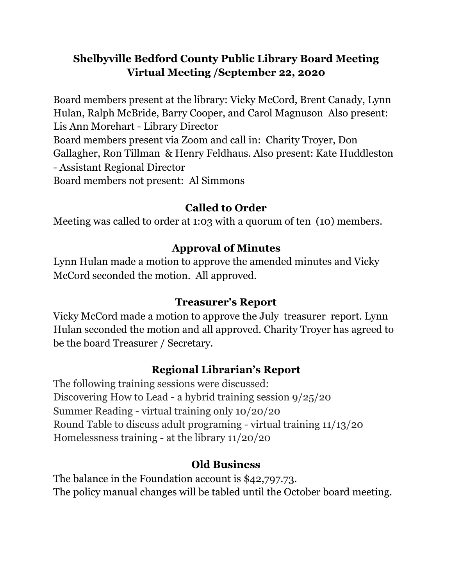# **Shelbyville Bedford County Public Library Board Meeting Virtual Meeting /September 22, 2020**

Board members present at the library: Vicky McCord, Brent Canady, Lynn Hulan, Ralph McBride, Barry Cooper, and Carol Magnuson Also present: Lis Ann Morehart - Library Director Board members present via Zoom and call in: Charity Troyer, Don Gallagher, Ron Tillman & Henry Feldhaus. Also present: Kate Huddleston - Assistant Regional Director Board members not present: Al Simmons

### **Called to Order**

Meeting was called to order at 1:03 with a quorum of ten (10) members.

### **Approval of Minutes**

Lynn Hulan made a motion to approve the amended minutes and Vicky McCord seconded the motion. All approved.

## **Treasurer's Report**

Vicky McCord made a motion to approve the July treasurer report. Lynn Hulan seconded the motion and all approved. Charity Troyer has agreed to be the board Treasurer / Secretary.

## **Regional Librarian's Report**

The following training sessions were discussed: Discovering How to Lead - a hybrid training session 9/25/20 Summer Reading - virtual training only 10/20/20 Round Table to discuss adult programing - virtual training 11/13/20 Homelessness training - at the library 11/20/20

## **Old Business**

The balance in the Foundation account is \$42,797.73. The policy manual changes will be tabled until the October board meeting.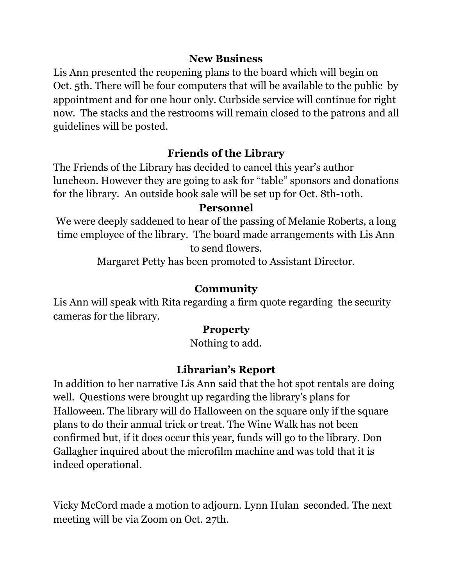#### **New Business**

Lis Ann presented the reopening plans to the board which will begin on Oct. 5th. There will be four computers that will be available to the public by appointment and for one hour only. Curbside service will continue for right now. The stacks and the restrooms will remain closed to the patrons and all guidelines will be posted.

## **Friends of the Library**

The Friends of the Library has decided to cancel this year's author luncheon. However they are going to ask for "table" sponsors and donations for the library. An outside book sale will be set up for Oct. 8th-10th.

#### **Personnel**

We were deeply saddened to hear of the passing of Melanie Roberts, a long time employee of the library. The board made arrangements with Lis Ann to send flowers.

Margaret Petty has been promoted to Assistant Director.

## **Community**

Lis Ann will speak with Rita regarding a firm quote regarding the security cameras for the library.

## **Property**

Nothing to add.

# **Librarian's Report**

In addition to her narrative Lis Ann said that the hot spot rentals are doing well. Questions were brought up regarding the library's plans for Halloween. The library will do Halloween on the square only if the square plans to do their annual trick or treat. The Wine Walk has not been confirmed but, if it does occur this year, funds will go to the library. Don Gallagher inquired about the microfilm machine and was told that it is indeed operational.

Vicky McCord made a motion to adjourn. Lynn Hulan seconded. The next meeting will be via Zoom on Oct. 27th.